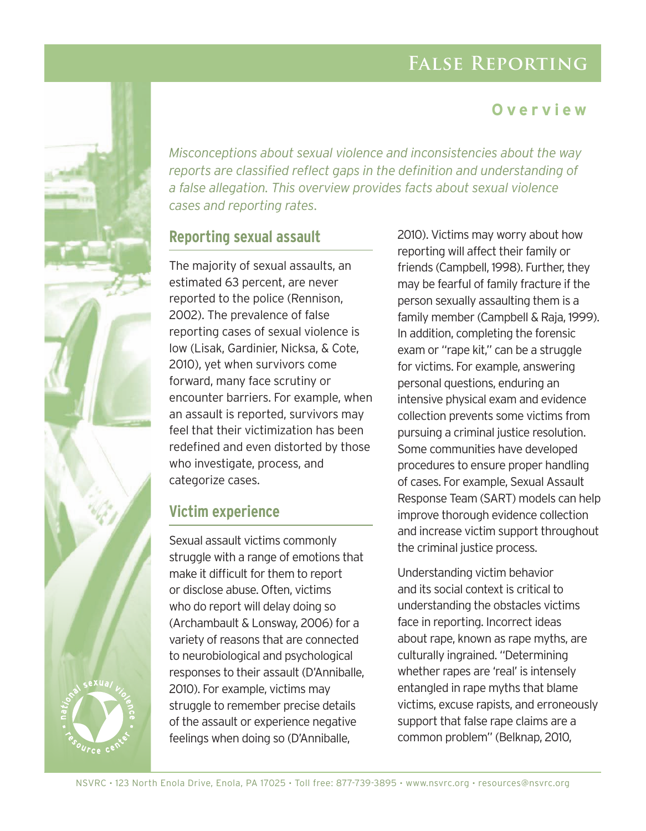# **False Reporting**

### **Overview**



*Misconceptions about sexual violence and inconsistencies about the way reports are classified reflect gaps in the definition and understanding of a false allegation. This overview provides facts about sexual violence cases and reporting rates*.

#### **Reporting sexual assault**

The majority of sexual assaults, an estimated 63 percent, are never reported to the police (Rennison, 2002). The prevalence of false reporting cases of sexual violence is low (Lisak, Gardinier, Nicksa, & Cote, 2010), yet when survivors come forward, many face scrutiny or encounter barriers. For example, when an assault is reported, survivors may feel that their victimization has been redefined and even distorted by those who investigate, process, and categorize cases.

#### **Victim experience**

Sexual assault victims commonly struggle with a range of emotions that make it difficult for them to report or disclose abuse. Often, victims who do report will delay doing so (Archambault & Lonsway, 2006) for a variety of reasons that are connected to neurobiological and psychological responses to their assault (D'Anniballe, 2010). For example, victims may struggle to remember precise details of the assault or experience negative feelings when doing so (D'Anniballe,

2010). Victims may worry about how reporting will affect their family or friends (Campbell, 1998). Further, they may be fearful of family fracture if the person sexually assaulting them is a family member (Campbell & Raja, 1999). In addition, completing the forensic exam or "rape kit," can be a struggle for victims. For example, answering personal questions, enduring an intensive physical exam and evidence collection prevents some victims from pursuing a criminal justice resolution. Some communities have developed procedures to ensure proper handling of cases. For example, Sexual Assault Response Team (SART) models can help improve thorough evidence collection and increase victim support throughout the criminal justice process.

Understanding victim behavior and its social context is critical to understanding the obstacles victims face in reporting. Incorrect ideas about rape, known as rape myths, are culturally ingrained. "Determining whether rapes are 'real' is intensely entangled in rape myths that blame victims, excuse rapists, and erroneously support that false rape claims are a common problem" (Belknap, 2010,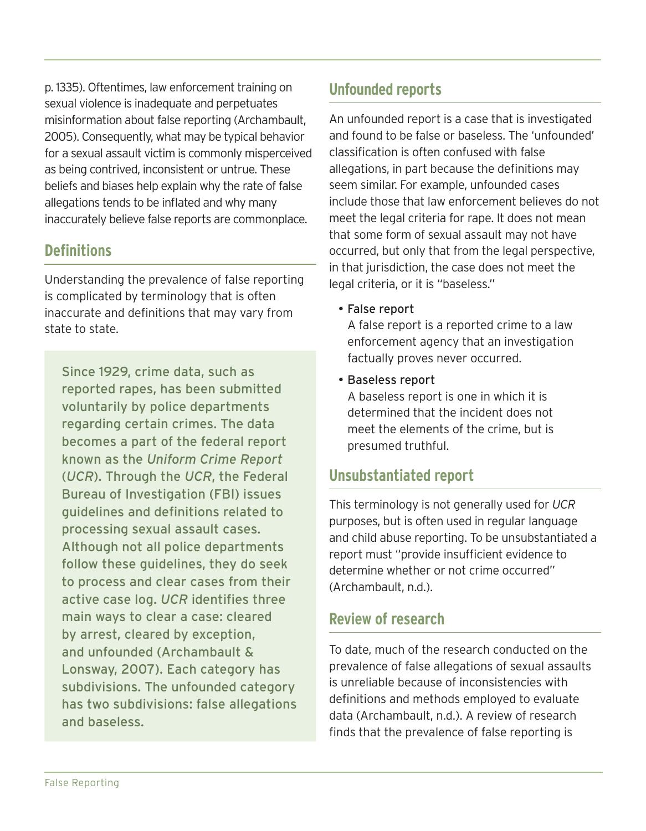p. 1335). Oftentimes, law enforcement training on sexual violence is inadequate and perpetuates misinformation about false reporting (Archambault, 2005). Consequently, what may be typical behavior for a sexual assault victim is commonly misperceived as being contrived, inconsistent or untrue. These beliefs and biases help explain why the rate of false allegations tends to be inflated and why many inaccurately believe false reports are commonplace.

### **Definitions**

Understanding the prevalence of false reporting is complicated by terminology that is often inaccurate and definitions that may vary from state to state.

Since 1929, crime data, such as reported rapes, has been submitted voluntarily by police departments regarding certain crimes. The data becomes a part of the federal report known as the *Uniform Crime Report* (*UCR*). Through the *UCR*, the Federal Bureau of Investigation (FBI) issues guidelines and definitions related to processing sexual assault cases. Although not all police departments follow these guidelines, they do seek to process and clear cases from their active case log. *UCR* identifies three main ways to clear a case: cleared by arrest, cleared by exception, and unfounded (Archambault & Lonsway, 2007). Each category has subdivisions. The unfounded category has two subdivisions: false allegations and baseless.

### **Unfounded reports**

An unfounded report is a case that is investigated and found to be false or baseless. The 'unfounded' classification is often confused with false allegations, in part because the definitions may seem similar. For example, unfounded cases include those that law enforcement believes do not meet the legal criteria for rape. It does not mean that some form of sexual assault may not have occurred, but only that from the legal perspective, in that jurisdiction, the case does not meet the legal criteria, or it is "baseless."

• False report

A false report is a reported crime to a law enforcement agency that an investigation factually proves never occurred.

• Baseless report

A baseless report is one in which it is determined that the incident does not meet the elements of the crime, but is presumed truthful.

# **Unsubstantiated report**

This terminology is not generally used for *UCR* purposes, but is often used in regular language and child abuse reporting. To be unsubstantiated a report must "provide insufficient evidence to determine whether or not crime occurred" (Archambault, n.d.).

# **Review of research**

To date, much of the research conducted on the prevalence of false allegations of sexual assaults is unreliable because of inconsistencies with definitions and methods employed to evaluate data (Archambault, n.d.). A review of research finds that the prevalence of false reporting is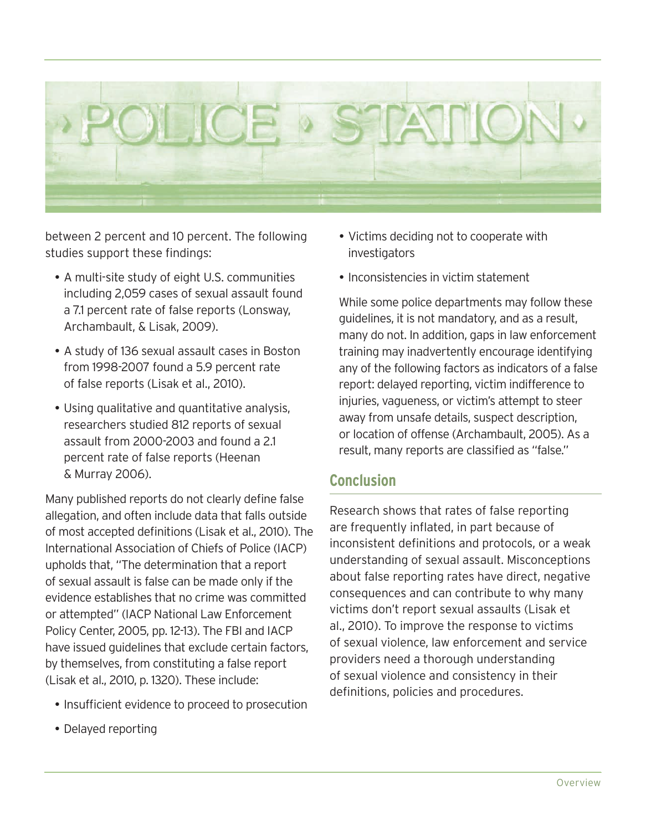

between 2 percent and 10 percent. The following studies support these findings:

- A multi-site study of eight U.S. communities including 2,059 cases of sexual assault found a 7.1 percent rate of false reports (Lonsway, Archambault, & Lisak, 2009).
- y A study of 136 sexual assault cases in Boston from 1998-2007 found a 5.9 percent rate of false reports (Lisak et al., 2010).
- Using qualitative and quantitative analysis, researchers studied 812 reports of sexual assault from 2000-2003 and found a 2.1 percent rate of false reports (Heenan & Murray 2006).

Many published reports do not clearly define false allegation, and often include data that falls outside of most accepted definitions (Lisak et al., 2010). The International Association of Chiefs of Police (IACP) upholds that, "The determination that a report of sexual assault is false can be made only if the evidence establishes that no crime was committed or attempted" (IACP National Law Enforcement Policy Center, 2005, pp. 12-13). The FBI and IACP have issued guidelines that exclude certain factors, by themselves, from constituting a false report (Lisak et al., 2010, p. 1320). These include:

- Insufficient evidence to proceed to prosecution
- Delayed reporting
- Victims deciding not to cooperate with investigators
- Inconsistencies in victim statement

While some police departments may follow these guidelines, it is not mandatory, and as a result, many do not. In addition, gaps in law enforcement training may inadvertently encourage identifying any of the following factors as indicators of a false report: delayed reporting, victim indifference to injuries, vagueness, or victim's attempt to steer away from unsafe details, suspect description, or location of offense (Archambault, 2005). As a result, many reports are classified as "false."

#### **Conclusion**

Research shows that rates of false reporting are frequently inflated, in part because of inconsistent definitions and protocols, or a weak understanding of sexual assault. Misconceptions about false reporting rates have direct, negative consequences and can contribute to why many victims don't report sexual assaults (Lisak et al., 2010). To improve the response to victims of sexual violence, law enforcement and service providers need a thorough understanding of sexual violence and consistency in their definitions, policies and procedures.